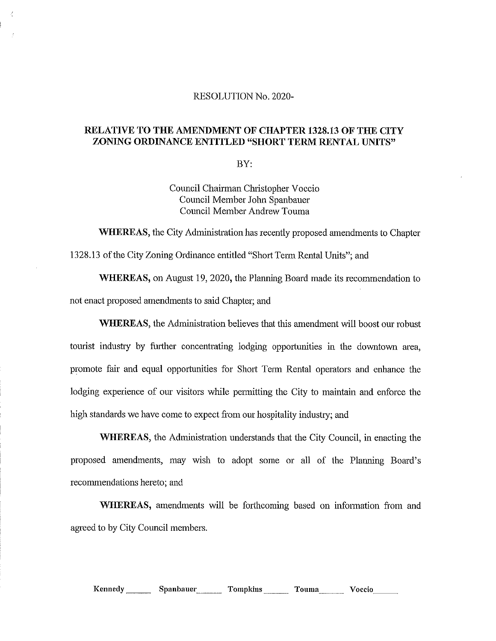## RESOLUTION No. 2020-

## RELATIVE TO THE AMENDMENT OF CHAPTER 1328.13 OF THE CITY ZONING ORDINANCE ENTITLED "SHORT TERM RENTAL UNITS"

BY:

Council Chairman Christopher Voccio Council Member John Spanbauer Council Member Andrew Touma

WHEREAS, the City Administration has recently proposed amendments to Chapter 1328.13 of the City Zoning Ordinance entitled "Short Term Rental Units"; and

WHEREAS, on August 19, 2020, the Planning Board made its recommendation to not enact proposed amendments to said Chapter; and

WHEREAS, the Administration believes that this amendment will boost our robust tourist industry by further concentrating lodging opportunities in the downtown area, promote fair and equal opportunities for Short Term Rental operators and enhance the lodging experience of our visitors while permitting the City to maintain and enforce the high standards we have come to expect from our hospitality industry; and

WHEREAS, the Administration understands that the City Council, in enacting the proposed amendments, may wish to adopt some or all of the Planning Board's recommendations hereto; and

WHEREAS, amendments will be forthcoming based on information from and agreed to by City Council members.

Kennedy Spanbauer Tompkins Touma Voccio